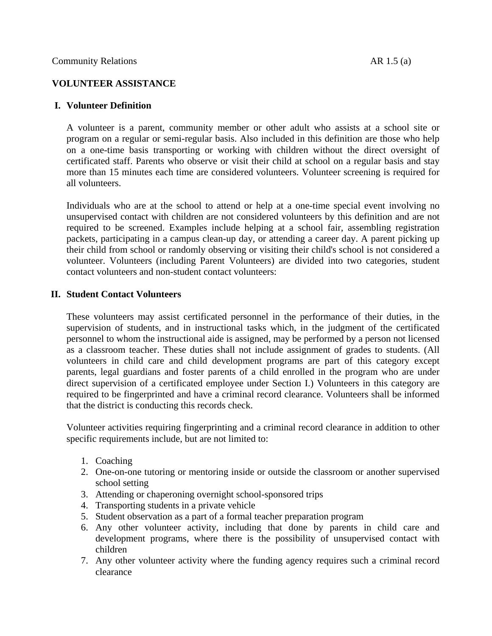# **VOLUNTEER ASSISTANCE**

## **I. Volunteer Definition**

A volunteer is a parent, community member or other adult who assists at a school site or program on a regular or semi-regular basis. Also included in this definition are those who help on a one-time basis transporting or working with children without the direct oversight of certificated staff. Parents who observe or visit their child at school on a regular basis and stay more than 15 minutes each time are considered volunteers. Volunteer screening is required for all volunteers.

Individuals who are at the school to attend or help at a one-time special event involving no unsupervised contact with children are not considered volunteers by this definition and are not required to be screened. Examples include helping at a school fair, assembling registration packets, participating in a campus clean-up day, or attending a career day. A parent picking up their child from school or randomly observing or visiting their child's school is not considered a volunteer. Volunteers (including Parent Volunteers) are divided into two categories, student contact volunteers and non-student contact volunteers:

# **II. Student Contact Volunteers**

These volunteers may assist certificated personnel in the performance of their duties, in the supervision of students, and in instructional tasks which, in the judgment of the certificated personnel to whom the instructional aide is assigned, may be performed by a person not licensed as a classroom teacher. These duties shall not include assignment of grades to students. (All volunteers in child care and child development programs are part of this category except parents, legal guardians and foster parents of a child enrolled in the program who are under direct supervision of a certificated employee under Section I.) Volunteers in this category are required to be fingerprinted and have a criminal record clearance. Volunteers shall be informed that the district is conducting this records check.

Volunteer activities requiring fingerprinting and a criminal record clearance in addition to other specific requirements include, but are not limited to:

- 1. Coaching
- 2. One-on-one tutoring or mentoring inside or outside the classroom or another supervised school setting
- 3. Attending or chaperoning overnight school-sponsored trips
- 4. Transporting students in a private vehicle
- 5. Student observation as a part of a formal teacher preparation program
- 6. Any other volunteer activity, including that done by parents in child care and development programs, where there is the possibility of unsupervised contact with children
- 7. Any other volunteer activity where the funding agency requires such a criminal record clearance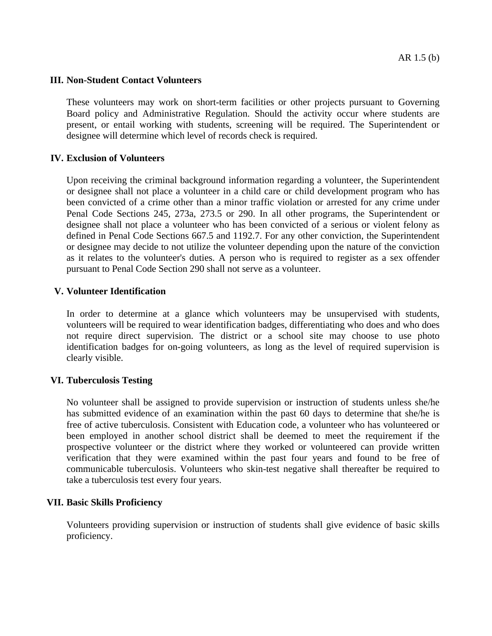#### **III. Non-Student Contact Volunteers**

These volunteers may work on short-term facilities or other projects pursuant to Governing Board policy and Administrative Regulation. Should the activity occur where students are present, or entail working with students, screening will be required. The Superintendent or designee will determine which level of records check is required.

### **IV. Exclusion of Volunteers**

Upon receiving the criminal background information regarding a volunteer, the Superintendent or designee shall not place a volunteer in a child care or child development program who has been convicted of a crime other than a minor traffic violation or arrested for any crime under Penal Code Sections 245, 273a, 273.5 or 290. In all other programs, the Superintendent or designee shall not place a volunteer who has been convicted of a serious or violent felony as defined in Penal Code Sections 667.5 and 1192.7. For any other conviction, the Superintendent or designee may decide to not utilize the volunteer depending upon the nature of the conviction as it relates to the volunteer's duties. A person who is required to register as a sex offender pursuant to Penal Code Section 290 shall not serve as a volunteer.

## **V. Volunteer Identification**

In order to determine at a glance which volunteers may be unsupervised with students, volunteers will be required to wear identification badges, differentiating who does and who does not require direct supervision. The district or a school site may choose to use photo identification badges for on-going volunteers, as long as the level of required supervision is clearly visible.

#### **VI. Tuberculosis Testing**

No volunteer shall be assigned to provide supervision or instruction of students unless she/he has submitted evidence of an examination within the past 60 days to determine that she/he is free of active tuberculosis. Consistent with Education code, a volunteer who has volunteered or been employed in another school district shall be deemed to meet the requirement if the prospective volunteer or the district where they worked or volunteered can provide written verification that they were examined within the past four years and found to be free of communicable tuberculosis. Volunteers who skin-test negative shall thereafter be required to take a tuberculosis test every four years.

### **VII. Basic Skills Proficiency**

Volunteers providing supervision or instruction of students shall give evidence of basic skills proficiency.